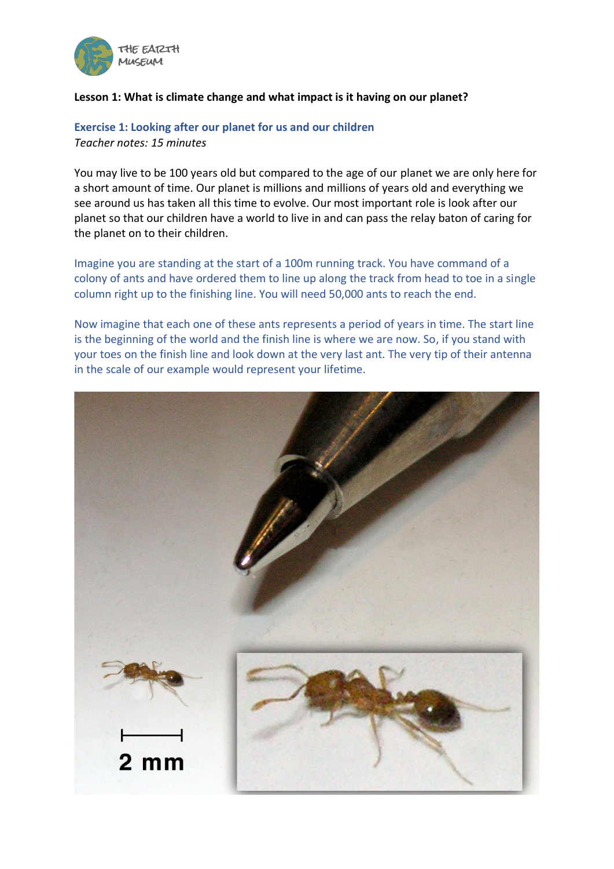

#### **Lesson 1: What is climate change and what impact is it having on our planet?**

#### **Exercise 1: Looking after our planet for us and our children** *Teacher notes: 15 minutes*

You may live to be 100 years old but compared to the age of our planet we are only here for a short amount of time. Our planet is millions and millions of years old and everything we see around us has taken all this time to evolve. Our most important role is look after our planet so that our children have a world to live in and can pass the relay baton of caring for the planet on to their children.

Imagine you are standing at the start of a 100m running track. You have command of a colony of ants and have ordered them to line up along the track from head to toe in a single column right up to the finishing line. You will need 50,000 ants to reach the end.

Now imagine that each one of these ants represents a period of years in time. The start line is the beginning of the world and the finish line is where we are now. So, if you stand with your toes on the finish line and look down at the very last ant. The very tip of their antenna in the scale of our example would represent your lifetime.

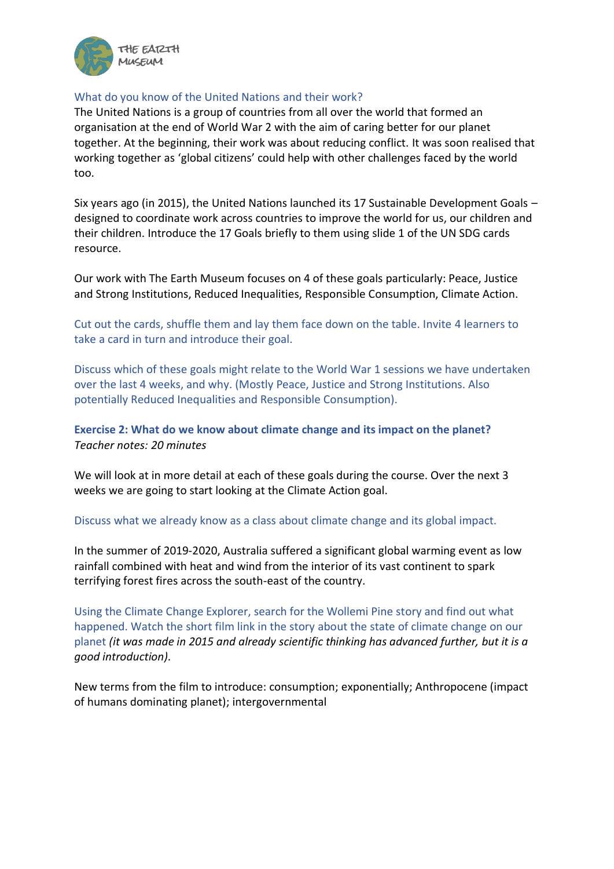

#### What do you know of the United Nations and their work?

The United Nations is a group of countries from all over the world that formed an organisation at the end of World War 2 with the aim of caring better for our planet together. At the beginning, their work was about reducing conflict. It was soon realised that working together as 'global citizens' could help with other challenges faced by the world too.

Six years ago (in 2015), the United Nations launched its 17 Sustainable Development Goals – designed to coordinate work across countries to improve the world for us, our children and their children. Introduce the 17 Goals briefly to them using slide 1 of the UN SDG cards resource.

Our work with The Earth Museum focuses on 4 of these goals particularly: Peace, Justice and Strong Institutions, Reduced Inequalities, Responsible Consumption, Climate Action.

Cut out the cards, shuffle them and lay them face down on the table. Invite 4 learners to take a card in turn and introduce their goal.

Discuss which of these goals might relate to the World War 1 sessions we have undertaken over the last 4 weeks, and why. (Mostly Peace, Justice and Strong Institutions. Also potentially Reduced Inequalities and Responsible Consumption).

## **Exercise 2: What do we know about climate change and its impact on the planet?** *Teacher notes: 20 minutes*

We will look at in more detail at each of these goals during the course. Over the next 3 weeks we are going to start looking at the Climate Action goal.

#### Discuss what we already know as a class about climate change and its global impact.

In the summer of 2019-2020, Australia suffered a significant global warming event as low rainfall combined with heat and wind from the interior of its vast continent to spark terrifying forest fires across the south-east of the country.

Using the Climate Change Explorer, search for the Wollemi Pine story and find out what happened. Watch the short film link in the story about the state of climate change on our planet *(it was made in 2015 and already scientific thinking has advanced further, but it is a good introduction).*

New terms from the film to introduce: consumption; exponentially; Anthropocene (impact of humans dominating planet); intergovernmental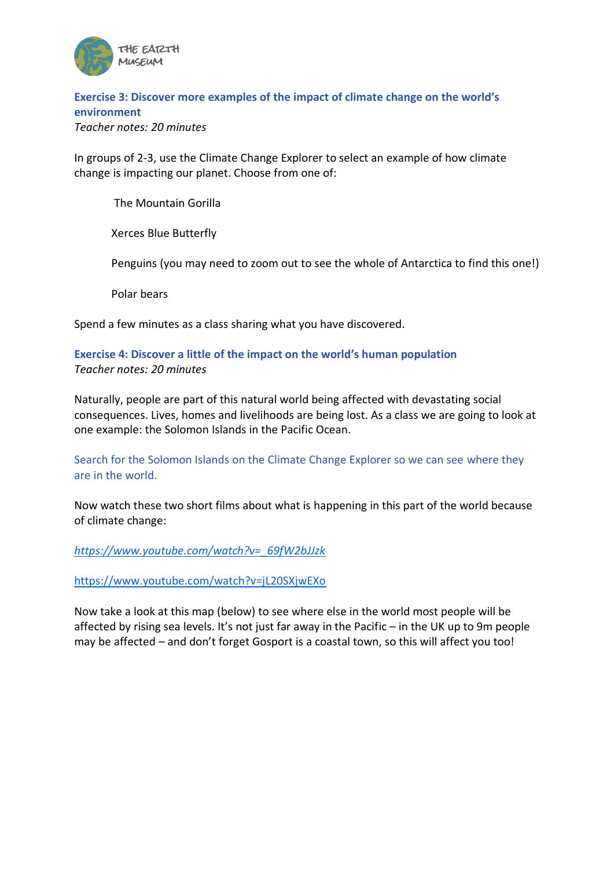

# **Exercise 3: Discover more examples of the impact of climate change on the world's environment**

*Teacher notes: 20 minutes*

In groups of 2-3, use the Climate Change Explorer to select an example of how climate change is impacting our planet. Choose from one of:

The Mountain Gorilla

Xerces Blue Butterfly

Penguins (you may need to zoom out to see the whole of Antarctica to find this one!)

Polar bears

Spend a few minutes as a class sharing what you have discovered.

## **Exercise 4: Discover a little of the impact on the world's human population** *Teacher notes: 20 minutes*

Naturally, people are part of this natural world being affected with devastating social consequences. Lives, homes and livelihoods are being lost. As a class we are going to look at one example: the Solomon Islands in the Pacific Ocean.

Search for the Solomon Islands on the Climate Change Explorer so we can see where they are in the world.

Now watch these two short films about what is happening in this part of the world because of climate change:

*[https://www.youtube.com/watch?v=\\_69fW2bJJzk](https://www.youtube.com/watch?v=_69fW2bJJzk)*

<https://www.youtube.com/watch?v=jL20SXjwEXo>

Now take a look at this map (below) to see where else in the world most people will be affected by rising sea levels. It's not just far away in the Pacific – in the UK up to 9m people may be affected – and don't forget Gosport is a coastal town, so this will affect you too!